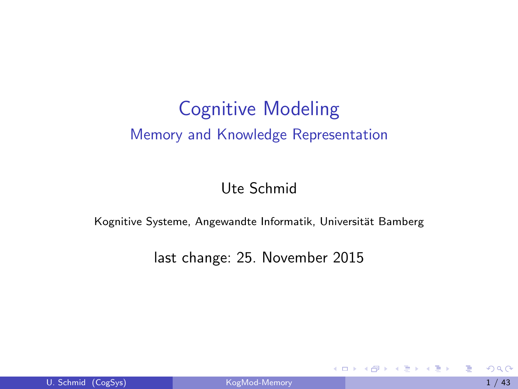#### Cognitive Modeling Memory and Knowledge Representation

Ute Schmid

Kognitive Systeme, Angewandte Informatik, Universität Bamberg

last change: 25. November 2015

<span id="page-0-0"></span> $\mathbf{A} \oplus \mathbf{B}$   $\mathbf{A} \oplus \mathbf{B}$   $\mathbf{A} \oplus \mathbf{B}$ 

4 0 8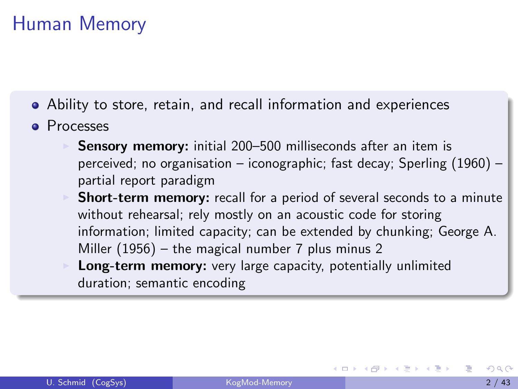# Human Memory

- Ability to store, retain, and recall information and experiences
- **•** Processes
	- Sensory memory: initial 200-500 milliseconds after an item is perceived; no organisation – iconographic; fast decay; Sperling (1960) – partial report paradigm
	- **Short-term memory:** recall for a period of several seconds to a minute without rehearsal; rely mostly on an acoustic code for storing information; limited capacity; can be extended by chunking; George A. Miller (1956) – the magical number 7 plus minus 2
	- Long-term memory: very large capacity, potentially unlimited duration; semantic encoding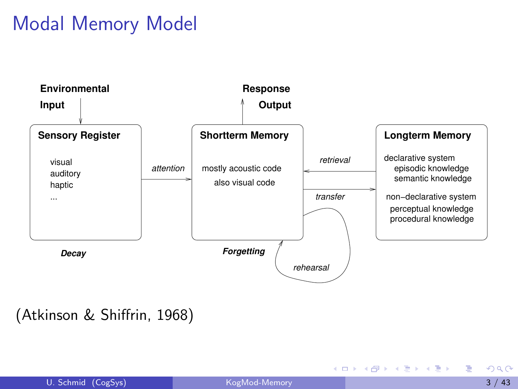# Modal Memory Model



#### (Atkinson & Shiffrin, 1968)

画

イロメ イ部メ イヨメ イヨメー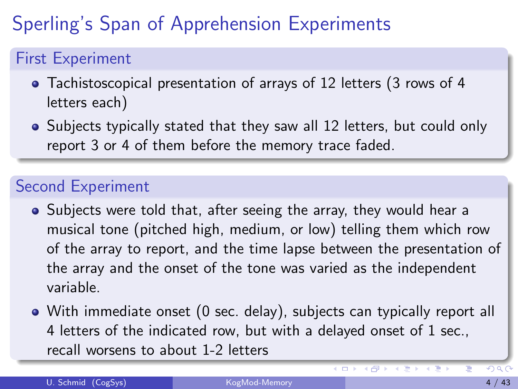# Sperling's Span of Apprehension Experiments

#### First Experiment

- Tachistoscopical presentation of arrays of 12 letters (3 rows of 4 letters each)
- Subjects typically stated that they saw all 12 letters, but could only report 3 or 4 of them before the memory trace faded.

#### Second Experiment

- Subjects were told that, after seeing the array, they would hear a musical tone (pitched high, medium, or low) telling them which row of the array to report, and the time lapse between the presentation of the array and the onset of the tone was varied as the independent variable.
- With immediate onset (0 sec. delay), subjects can typically report all 4 letters of the indicated row, but with a delayed onset of 1 sec., recall worsens to about 1-2 letters

 $\leftarrow$ 

4 何 ト

4. B. F. 4.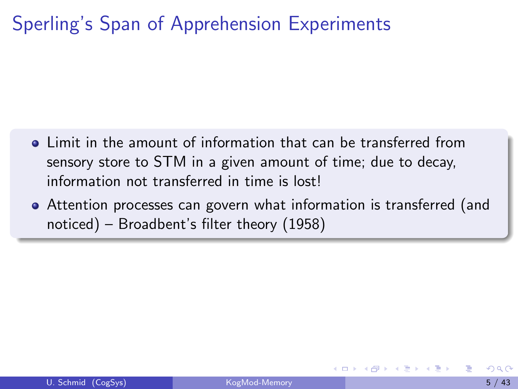# Sperling's Span of Apprehension Experiments

- Limit in the amount of information that can be transferred from sensory store to STM in a given amount of time; due to decay, information not transferred in time is lost!
- Attention processes can govern what information is transferred (and noticed) – Broadbent's filter theory (1958)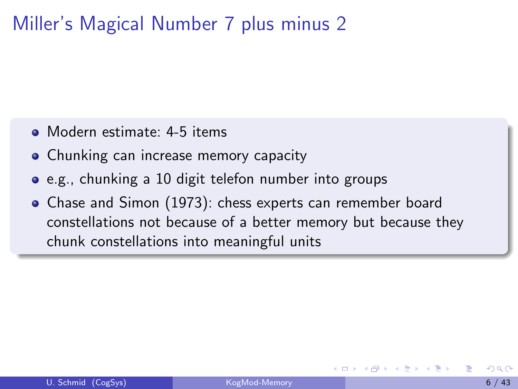### Miller's Magical Number 7 plus minus 2

- Modern estimate: 4-5 items
- Chunking can increase memory capacity
- e.g., chunking a 10 digit telefon number into groups
- Chase and Simon (1973): chess experts can remember board constellations not because of a better memory but because they chunk constellations into meaningful units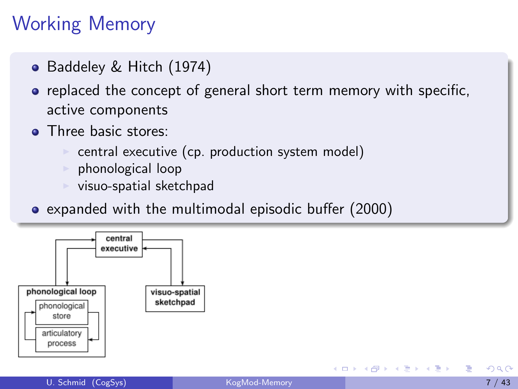# Working Memory

- Baddeley & Hitch (1974)
- replaced the concept of general short term memory with specific, active components
- **•** Three basic stores:
	- central executive (cp. production system model)
	- $\triangleright$  phonological loop
	- $\triangleright$  visuo-spatial sketchpad
- expanded with the multimodal episodic buffer (2000)



医毛囊 医牙骨下的

4 0 8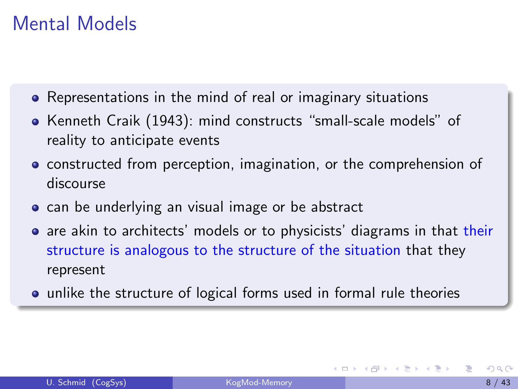#### Mental Models

- Representations in the mind of real or imaginary situations
- Kenneth Craik (1943): mind constructs "small-scale models" of reality to anticipate events
- **•** constructed from perception, imagination, or the comprehension of discourse
- **•** can be underlying an visual image or be abstract
- are akin to architects' models or to physicists' diagrams in that their structure is analogous to the structure of the situation that they represent
- **•** unlike the structure of logical forms used in formal rule theories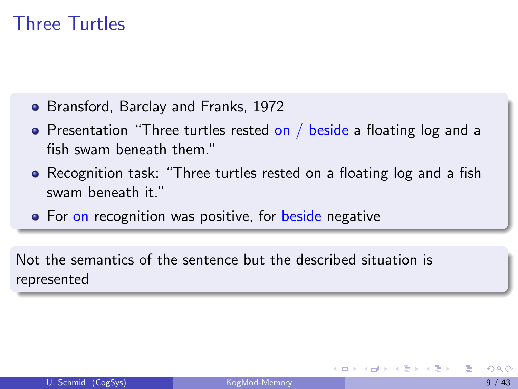#### Three Turtles

- Bransford, Barclay and Franks, 1972
- Presentation "Three turtles rested on / beside a floating log and a fish swam beneath them."
- Recognition task: "Three turtles rested on a floating log and a fish swam beneath it."
- For on recognition was positive, for beside negative

Not the semantics of the sentence but the described situation is represented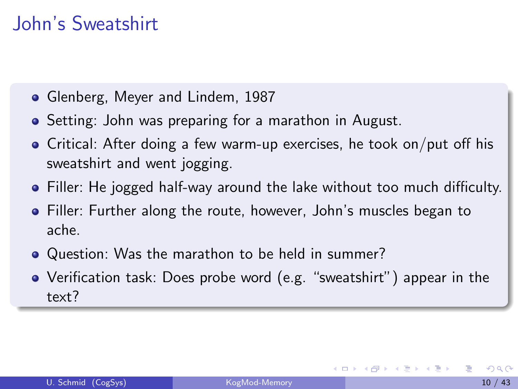# John's Sweatshirt

- Glenberg, Meyer and Lindem, 1987
- Setting: John was preparing for a marathon in August.
- Critical: After doing a few warm-up exercises, he took on/put off his sweatshirt and went jogging.
- Filler: He jogged half-way around the lake without too much difficulty.
- Filler: Further along the route, however, John's muscles began to ache.
- Question: Was the marathon to be held in summer?
- Verification task: Does probe word (e.g. "sweatshirt") appear in the text?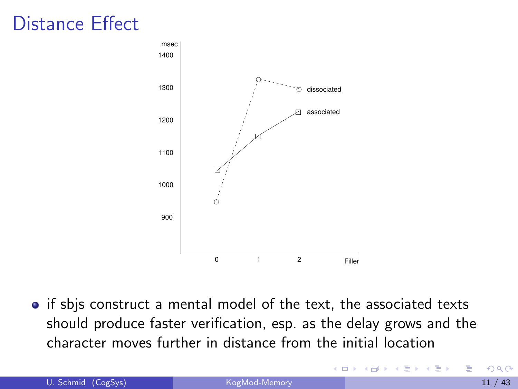### Distance Effect



• if sbis construct a mental model of the text, the associated texts should produce faster verification, esp. as the delay grows and the character moves further in distance from the initial location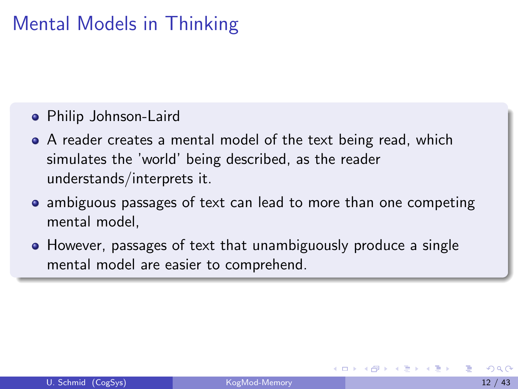# Mental Models in Thinking

- Philip Johnson-Laird
- A reader creates a mental model of the text being read, which simulates the 'world' being described, as the reader understands/interprets it.
- ambiguous passages of text can lead to more than one competing mental model,
- However, passages of text that unambiguously produce a single mental model are easier to comprehend.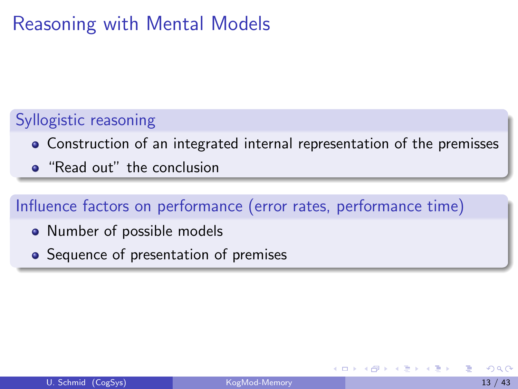# Reasoning with Mental Models

#### Syllogistic reasoning

- Construction of an integrated internal representation of the premisses
- "Read out" the conclusion

#### Influence factors on performance (error rates, performance time)

- Number of possible models
- Sequence of presentation of premises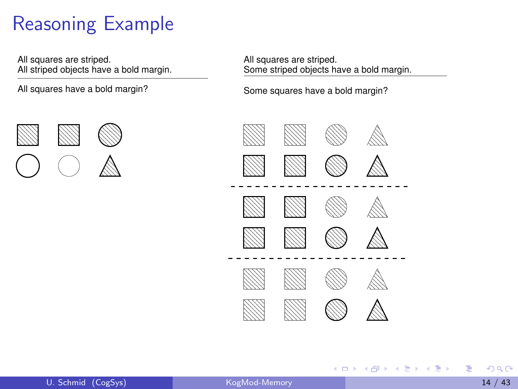# Reasoning Example

All squares are striped. All striped objects have a bold margin.

All squares have a bold margin?

All squares are striped. Some striped objects have a bold margin.

Some squares have a bold margin?



K ロ ⊁ K 個 ≯ K 君 ⊁ K 君 ≯



э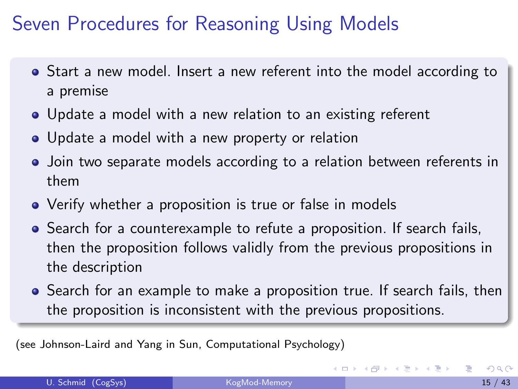### Seven Procedures for Reasoning Using Models

- Start a new model. Insert a new referent into the model according to a premise
- Update a model with a new relation to an existing referent
- Update a model with a new property or relation
- Join two separate models according to a relation between referents in them
- Verify whether a proposition is true or false in models
- Search for a counterexample to refute a proposition. If search fails, then the proposition follows validly from the previous propositions in the description
- Search for an example to make a proposition true. If search fails, then the proposition is inconsistent with the previous propositions.

(see Johnson-Laird and Yang in Sun, Computational Psychology)

<span id="page-14-0"></span>イロト イ押ト イヨト イヨト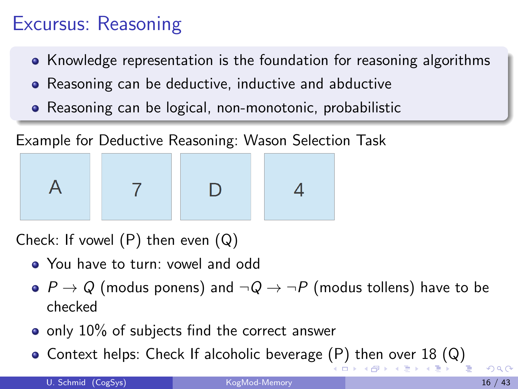# Excursus: Reasoning

- Knowledge representation is the foundation for reasoning algorithms
- Reasoning can be deductive, inductive and abductive
- Reasoning can be logical, non-monotonic, probabilistic



Check: If vowel  $(P)$  then even  $(Q)$ 

- You have to turn: vowel and odd
- $\bullet$  P  $\rightarrow$  Q (modus ponens) and  $\neg Q \rightarrow \neg P$  (modus tollens) have to be checked
- only 10% of subjects find the correct answer
- <span id="page-15-0"></span>• Context [h](#page-14-0)elps:Check If alcoholic beverage  $(P)$  $(P)$  [t](#page-16-0)h[en](#page-15-0) [ove](#page-0-0)[r](#page-42-0) [18](#page-0-0)  $(Q)$  $(Q)$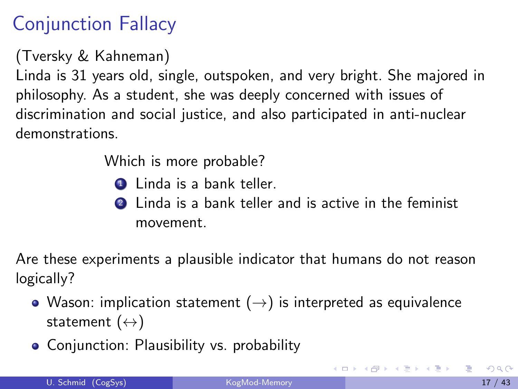# Conjunction Fallacy

(Tversky & Kahneman)

Linda is 31 years old, single, outspoken, and very bright. She majored in philosophy. As a student, she was deeply concerned with issues of discrimination and social justice, and also participated in anti-nuclear demonstrations.

Which is more probable?

- **1** Linda is a bank teller.
- **2** Linda is a bank teller and is active in the feminist movement.

Are these experiments a plausible indicator that humans do not reason logically?

- Wason: implication statement  $(\rightarrow)$  is interpreted as equivalence statement  $(\leftrightarrow)$
- Conjunction: Plausibility vs. probability

<span id="page-16-0"></span>イロト イ母 トイミト イミト ニヨー りんぴ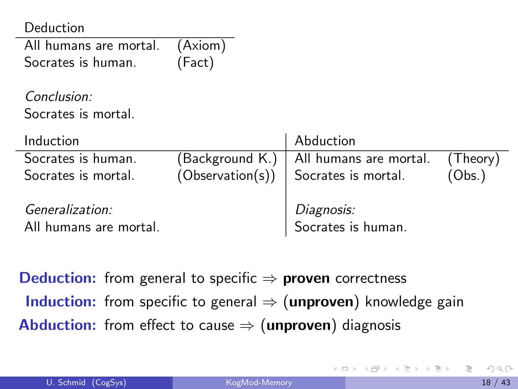Deduction

| All humans are mortal. | (Axiom) |
|------------------------|---------|
| Socrates is human.     | (Fact)  |

Conclusion: Socrates is mortal.

| Induction                                 | Abduction                                         |        |
|-------------------------------------------|---------------------------------------------------|--------|
| Socrates is human.                        | $(Background K.)$ All humans are mortal. (Theory) |        |
| Socrates is mortal.                       | $(Observation(s))$ Socrates is mortal.            | (Obs.) |
| Generalization:<br>All humans are mortal. | <i>Diagnosis:</i><br>Socrates is human.           |        |

**Deduction:** from general to specific  $\Rightarrow$  **proven** correctness **Induction:** from specific to general  $\Rightarrow$  (**unproven**) knowledge gain **Abduction:** from effect to cause  $\Rightarrow$  (unproven) diagnosis

**イロト イ何ト イヨト イヨト**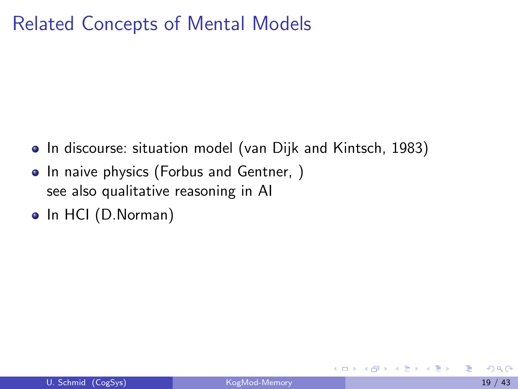### Related Concepts of Mental Models

- In discourse: situation model (van Dijk and Kintsch, 1983)
- In naive physics (Forbus and Gentner, ) see also qualitative reasoning in AI
- In HCI (D.Norman)

化重新润滑脂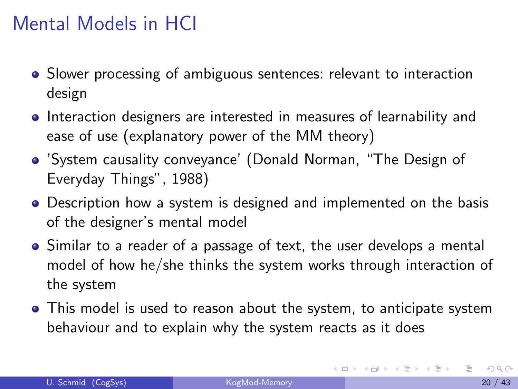### Mental Models in HCI

- Slower processing of ambiguous sentences: relevant to interaction design
- **•** Interaction designers are interested in measures of learnability and ease of use (explanatory power of the MM theory)
- 'System causality conveyance' (Donald Norman, "The Design of Everyday Things", 1988)
- Description how a system is designed and implemented on the basis of the designer's mental model
- Similar to a reader of a passage of text, the user develops a mental model of how he/she thinks the system works through interaction of the system
- This model is used to reason about the system, to anticipate system behaviour and to explain why the system reacts as it does

イロメ イ部メ イ君メ イ君メー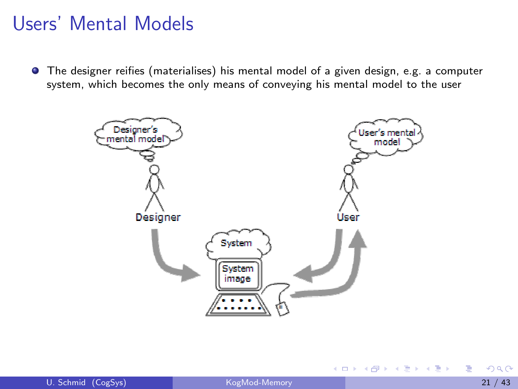#### Users' Mental Models

The designer reifies (materialises) his mental model of a given design, e.g. a computer system, which becomes the only means of conveying his mental model to the user



イロト イ母 トイヨ トイヨト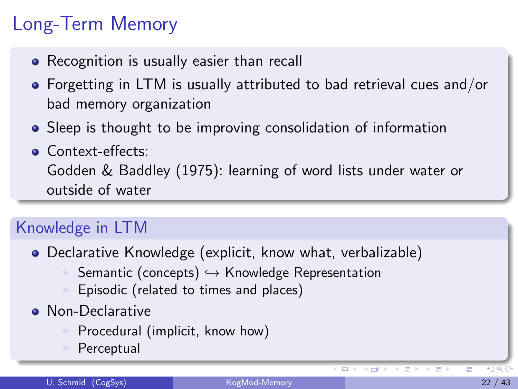# Long-Term Memory

- Recognition is usually easier than recall
- Forgetting in LTM is usually attributed to bad retrieval cues and/or bad memory organization
- Sleep is thought to be improving consolidation of information
- Context-effects: Godden & Baddley (1975): learning of word lists under water or outside of water

#### Knowledge in LTM

- Declarative Knowledge (explicit, know what, verbalizable)
	- Semantic (concepts)  $\hookrightarrow$  Knowledge Representation
	- Episodic (related to times and places)
- Non-Declarative
	- Procedural (implicit, know how)
	- Perceptual

 $\blacksquare$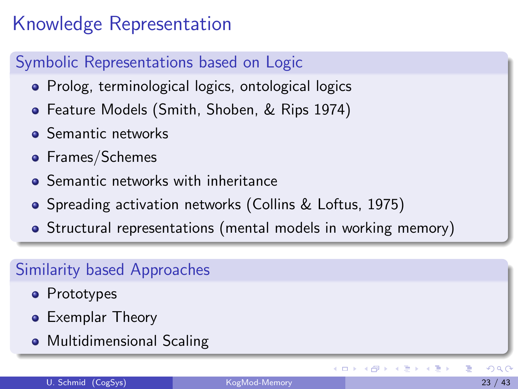# Knowledge Representation

#### Symbolic Representations based on Logic

- Prolog, terminological logics, ontological logics
- Feature Models (Smith, Shoben, & Rips 1974)
- **•** Semantic networks
- Frames/Schemes
- **Q** Semantic networks with inheritance
- Spreading activation networks (Collins & Loftus, 1975)
- Structural representations (mental models in working memory)

#### Similarity based Approaches

- Prototypes
- **•** Exemplar Theory
- **•** Multidimensional Scaling

イロト イ母 トイヨ トイヨト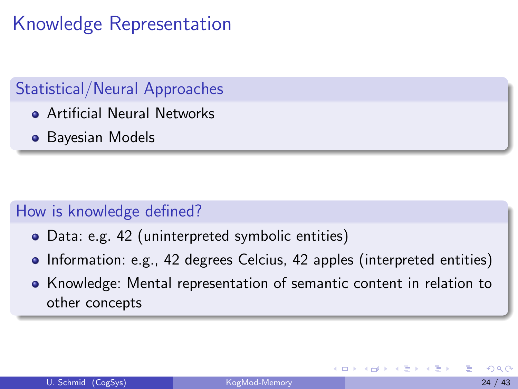# Knowledge Representation

#### Statistical/Neural Approaches

- Artificial Neural Networks
- **•** Bayesian Models

#### How is knowledge defined?

- Data: e.g. 42 (uninterpreted symbolic entities)
- Information: e.g., 42 degrees Celcius, 42 apples (interpreted entities)
- Knowledge: Mental representation of semantic content in relation to other concepts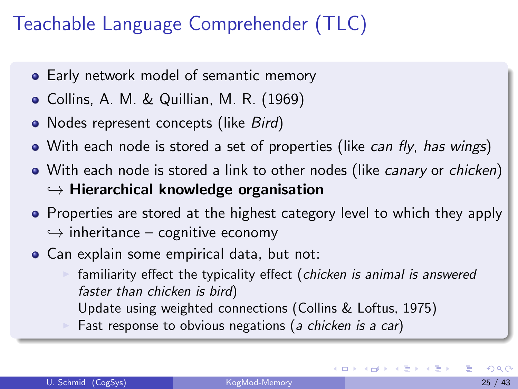# Teachable Language Comprehender (TLC)

- **Early network model of semantic memory**
- Collins, A. M. & Quillian, M. R. (1969)
- Nodes represent concepts (like *Bird*)
- With each node is stored a set of properties (like *can fly, has wings*)
- With each node is stored a link to other nodes (like *canary* or *chicken*)  $\hookrightarrow$  Hierarchical knowledge organisation
- Properties are stored at the highest category level to which they apply  $\hookrightarrow$  inheritance – cognitive economy
- Can explain some empirical data, but not:
	- familiarity effect the typicality effect (chicken is animal is answered faster than chicken is bird)
		- Update using weighted connections (Collins & Loftus, 1975)
	- Fast response to obvious negations (a chicken is a car)

イロト イ母 トイヨ トイヨト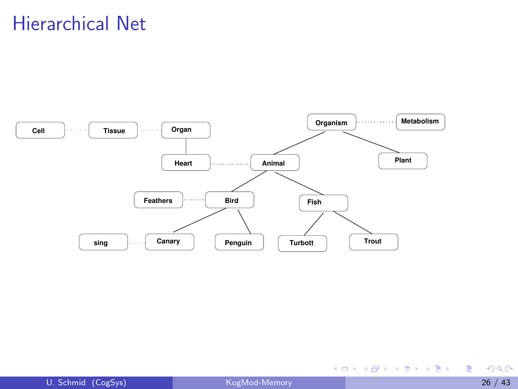#### Hierarchical Net



重

イロメ イ部メ イヨメ イヨメー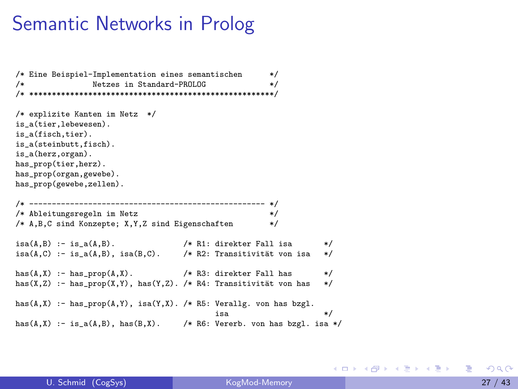#### Semantic Networks in Prolog

```
/* Eine Beispiel-Implementation eines semantischen */
/* Netzes in Standard-PROLOG */
/* ******************************************************/
/* explizite Kanten im Netz */
is_a(tier,lebewesen).
is_a(fisch,tier).
is a(steinbutt,fisch).
is_a(herz,organ).
has_prop(tier,herz).
has prop(organ, gewebe).
has prop(gewebe,zellen).
/* ---------------------------------------------------- */
/* Ableitungsregeln im Netz */
/* A,B,C sind Konzepte; X,Y,Z sind Eigenschaften */
isa(A,B):- is a(A,B). \qquad \qquad /* R1: direkter Fall isa \qquad \qquad */
isa(A,C) :- is a(A,B), isa(B,C). /* R2: Transitivität von isa */
has(A, X) :- has_prop(A, X). /* R3: direkter Fall has */<br>has(X, Z) :- has prop(X, Y) has(Y, Z) /* R4: Transitivität von has */
has(X,Z) :- has_prop(X,Y), has(Y,Z). /* R4: Transitivität von has
has(A,X) :- has_prop(A,Y), isa(Y,X). /* R5: Verallg. von has bzgl.
isa */
has(A,X) :- is_a(A,B), has(B,X). /* R6: Vererb. von has bzgl. isa */
```
U. Schmid (CogSys) [KogMod-Memory](#page-0-0) 27 / 43

イロト イ母 トイヨ トイヨ トー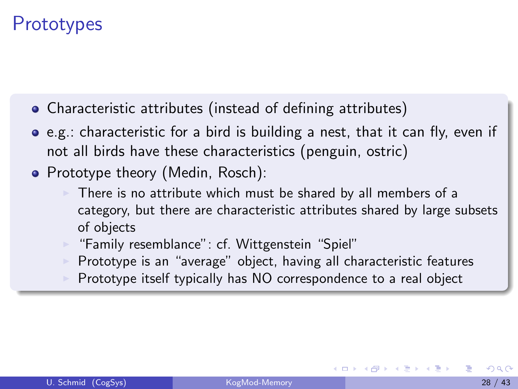#### **Prototypes**

- Characteristic attributes (instead of defining attributes)
- e.g.: characteristic for a bird is building a nest, that it can fly, even if not all birds have these characteristics (penguin, ostric)
- Prototype theory (Medin, Rosch):
	- There is no attribute which must be shared by all members of a category, but there are characteristic attributes shared by large subsets of objects
	- "Family resemblance": cf. Wittgenstein "Spiel"
	- <sup>I</sup> Prototype is an "average" object, having all characteristic features
	- Prototype itself typically has NO correspondence to a real object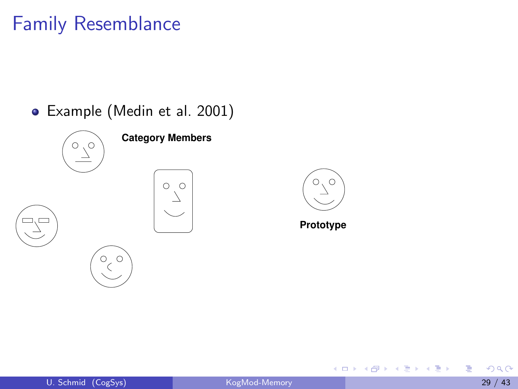#### Family Resemblance

Example (Medin et al. 2001)







**Prototype**

4 0 8

- 4何 ト 4 ヨ ト 4 ヨ ト

E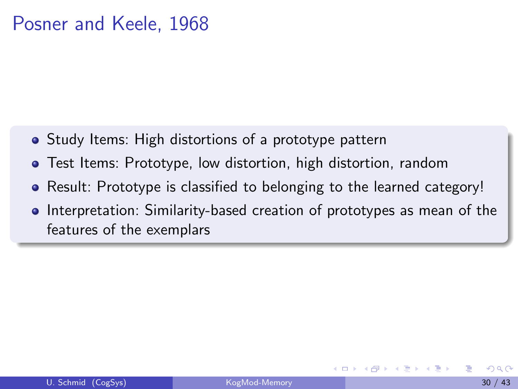#### Posner and Keele, 1968

- Study Items: High distortions of a prototype pattern
- Test Items: Prototype, low distortion, high distortion, random
- Result: Prototype is classified to belonging to the learned category!
- Interpretation: Similarity-based creation of prototypes as mean of the features of the exemplars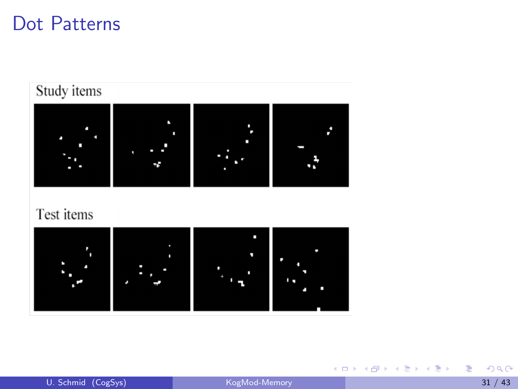#### Dot Patterns



重

K ロ ⊁ K 個 ≯ K 君 ⊁ K 君 ≯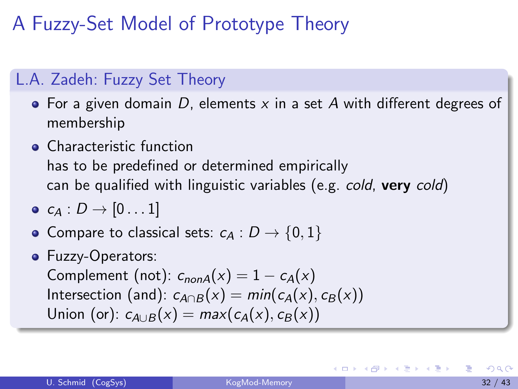# A Fuzzy-Set Model of Prototype Theory

#### L.A. Zadeh: Fuzzy Set Theory

- For a given domain  $D$ , elements  $x$  in a set  $A$  with different degrees of membership
- **Characteristic function** has to be predefined or determined empirically can be qualified with linguistic variables (e.g. cold, very cold)
- $\bullet$   $c_A : D \rightarrow [0 \dots 1]$
- Compare to classical sets:  $c_A : D \rightarrow \{0, 1\}$
- Fuzzy-Operators:

Complement (not):  $c_{nonA}(x) = 1 - c_A(x)$ Intersection (and):  $c_{A\cap B}(x) = min(c_A(x), c_B(x))$ Union (or):  $c_{A\cup B}(x) = max(c_A(x), c_B(x))$ 

イロト イ母 トイヨ トイヨ トー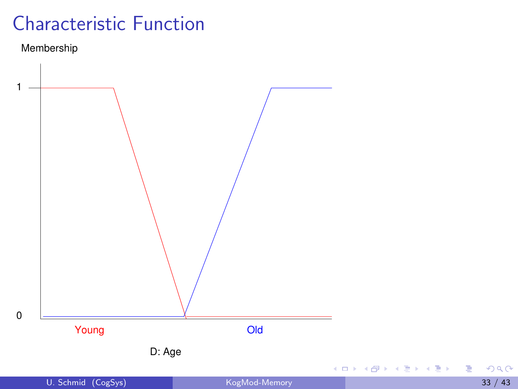# Characteristic Function

#### Membership



 $2990$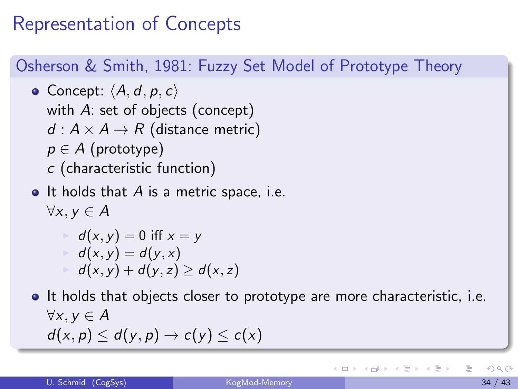## Representation of Concepts

#### Osherson & Smith, 1981: Fuzzy Set Model of Prototype Theory

• Concept:  $\langle A, d, p, c \rangle$ with A: set of objects (concept)  $d : A \times A \rightarrow R$  (distance metric)  $p \in A$  (prototype) c (characteristic function)

 $\bullet$  It holds that A is a metric space, i.e.  $\forall x, y \in A$ 

$$
d(x, y) = 0 \text{ iff } x = y
$$
  
=  $d(x, y) = d(y, x)$   
=  $d(x, y) + d(y, z) \ge d(x, z)$ 

• It holds that objects closer to prototype are more characteristic, i.e.  $\forall x, y \in A$  $d(x, p) \leq d(y, p) \rightarrow c(y) \leq c(x)$ 

イロト イ押ト イヨト イヨト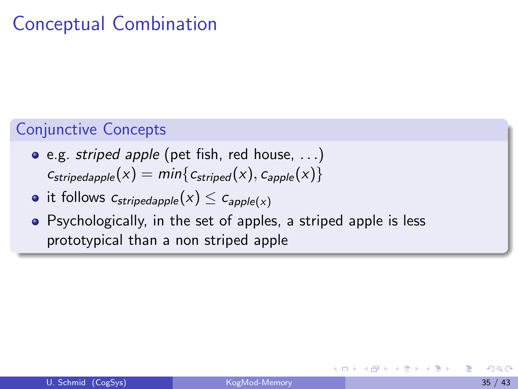### Conceptual Combination

#### Conjunctive Concepts

- e.g. striped apple (pet fish, red house, . . .)  $c_{\text{stripedapple}}(x) = \min\{c_{\text{striped}}(x), c_{\text{apple}}(x)\}\$
- it follows  $c_{\text{stripedapple}}(x) \leq c_{\text{apple}(x)}$
- Psychologically, in the set of apples, a striped apple is less prototypical than a non striped apple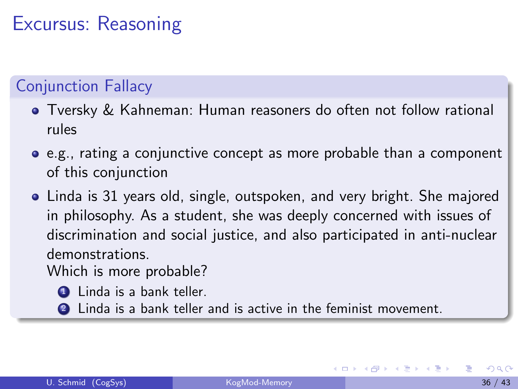# Excursus: Reasoning

#### Conjunction Fallacy

- Tversky & Kahneman: Human reasoners do often not follow rational rules
- e.g., rating a conjunctive concept as more probable than a component of this conjunction
- Linda is 31 years old, single, outspoken, and very bright. She majored in philosophy. As a student, she was deeply concerned with issues of discrimination and social justice, and also participated in anti-nuclear demonstrations.

Which is more probable?

- **1** Linda is a bank teller.
- **2** Linda is a bank teller and is active in the feminist movement.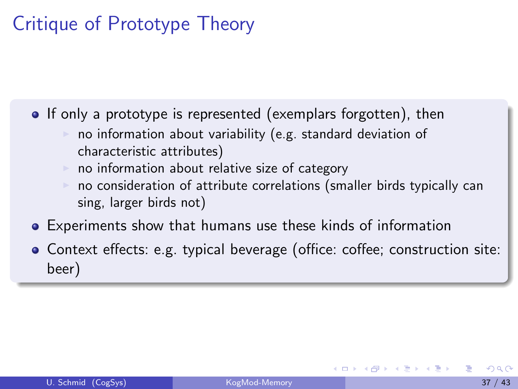# Critique of Prototype Theory

• If only a prototype is represented (exemplars forgotten), then

- no information about variability (e.g. standard deviation of characteristic attributes)
- $\triangleright$  no information about relative size of category
- <span id="page-36-0"></span>no consideration of attribute correlations (smaller birds typically can sing, larger birds not)
- Experiments show that humans use these kinds of information
- Context effects: e.g. typical beverage (office: coffee; construction site: beer)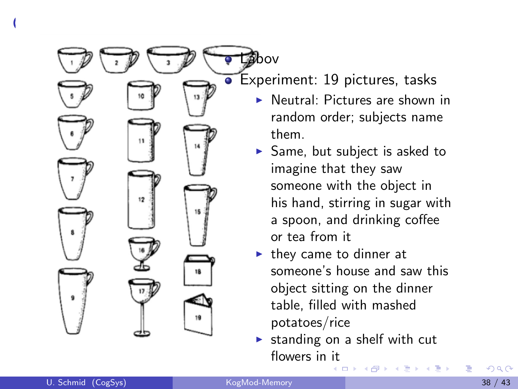Labov Experiment: 19 pictures, tasks Neutral: Pictures are shown in

- random order; subjects name them.
- $\blacktriangleright$  Same, but subject is asked to imagine that they saw someone with the object in his hand, stirring in sugar with a spoon, and drinking coffee or tea from it
- $\blacktriangleright$  they came to dinner at someone's house and saw this object sitting on the dinner table, filled with mashed potatoes/rice
- $\triangleright$  standing on a shelf with cut flowers in [it](#page-36-0) 4 D F

 $C = \frac{1}{2}$ 

 $\ddot{\phantom{a}}$ 

 $12$ 

14

15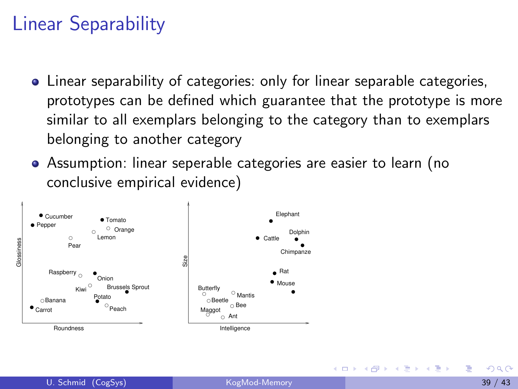# Linear Separability

- Linear separability of categories: only for linear separable categories, prototypes can be defined which guarantee that the prototype is more similar to all exemplars belonging to the category than to exemplars belonging to another category
- Assumption: linear seperable categories are easier to learn (no conclusive empirical evidence)

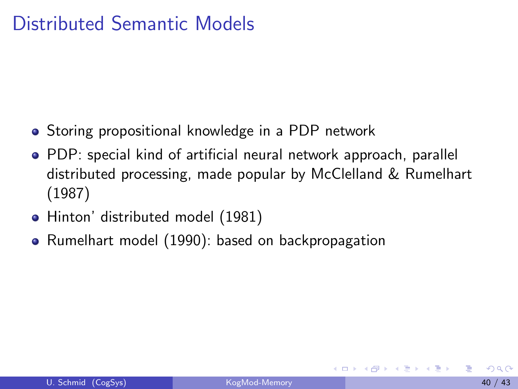#### Distributed Semantic Models

- **•** Storing propositional knowledge in a PDP network
- PDP: special kind of artificial neural network approach, parallel distributed processing, made popular by McClelland & Rumelhart (1987)
- Hinton' distributed model (1981)
- Rumelhart model (1990): based on backpropagation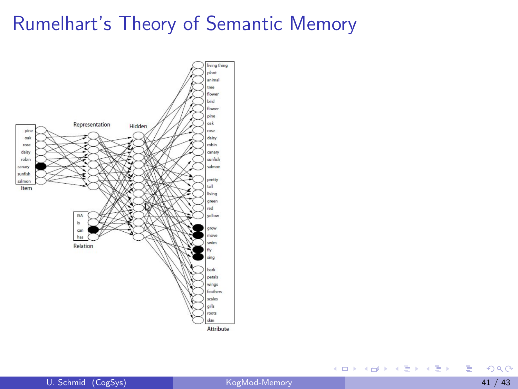#### Rumelhart's Theory of Semantic Memory



活

K ロ ⊁ K 個 ≯ K 君 ⊁ K 君 ≯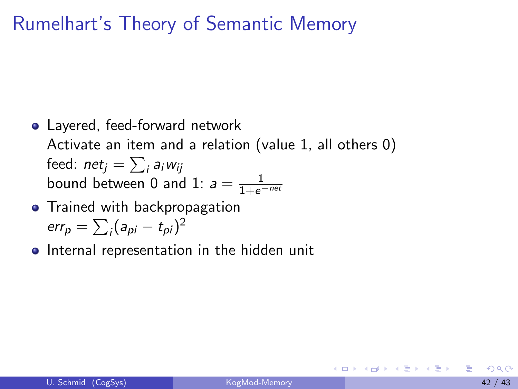### Rumelhart's Theory of Semantic Memory

- Layered, feed-forward network Activate an item and a relation (value 1, all others 0) feed:  ${\sf net}_j = \sum_i {\sf a}_i w_{ij}$ bound between 0 and 1:  $a = \frac{1}{1+e^{-net}}$
- Trained with backpropagation err $_p = \sum_i (a_{pi} - t_{pi})^2$
- **•** Internal representation in the hidden unit

押り イヨメ イヨメーヨ